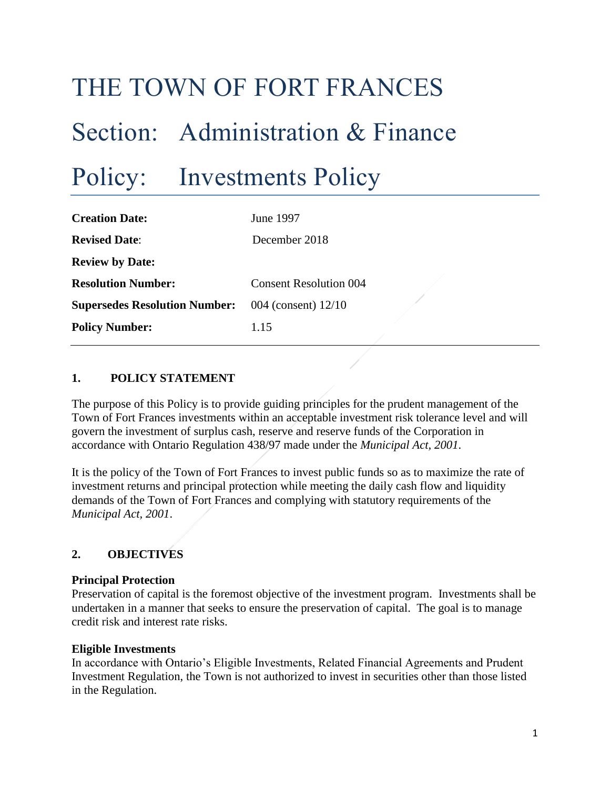# THE TOWN OF FORT FRANCES Section: Administration & Finance Policy: Investments Policy

| <b>Creation Date:</b>                | June 1997                     |  |  |
|--------------------------------------|-------------------------------|--|--|
| <b>Revised Date:</b>                 | December 2018                 |  |  |
| <b>Review by Date:</b>               |                               |  |  |
| <b>Resolution Number:</b>            | <b>Consent Resolution 004</b> |  |  |
| <b>Supersedes Resolution Number:</b> | 004 (consent) 12/10           |  |  |
| <b>Policy Number:</b>                | 1.15                          |  |  |

# **1. POLICY STATEMENT**

The purpose of this Policy is to provide guiding principles for the prudent management of the Town of Fort Frances investments within an acceptable investment risk tolerance level and will govern the investment of surplus cash, reserve and reserve funds of the Corporation in accordance with Ontario Regulation 438/97 made under the *Municipal Act, 2001*.

It is the policy of the Town of Fort Frances to invest public funds so as to maximize the rate of investment returns and principal protection while meeting the daily cash flow and liquidity demands of the Town of Fort Frances and complying with statutory requirements of the *Municipal Act, 2001*.

## **2. OBJECTIVES**

#### **Principal Protection**

Preservation of capital is the foremost objective of the investment program. Investments shall be undertaken in a manner that seeks to ensure the preservation of capital. The goal is to manage credit risk and interest rate risks.

#### **Eligible Investments**

In accordance with Ontario's Eligible Investments, Related Financial Agreements and Prudent Investment Regulation, the Town is not authorized to invest in securities other than those listed in the Regulation.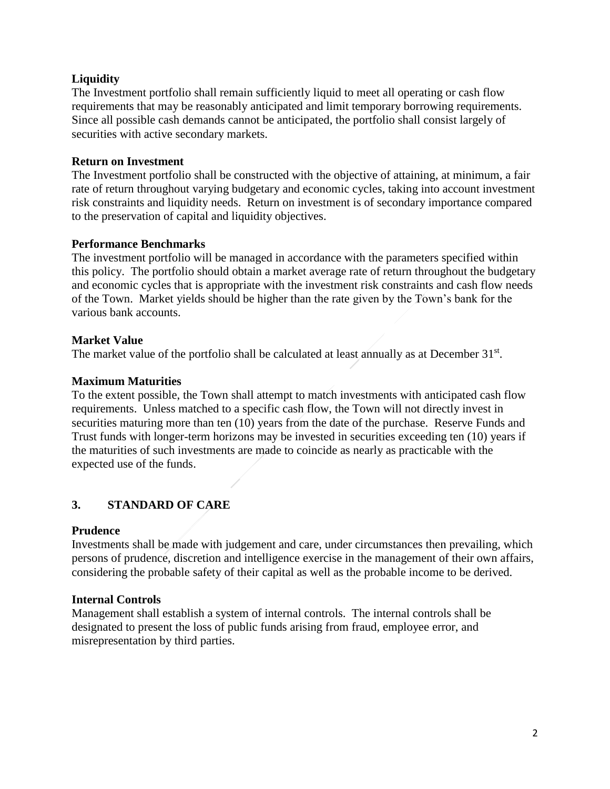# **Liquidity**

The Investment portfolio shall remain sufficiently liquid to meet all operating or cash flow requirements that may be reasonably anticipated and limit temporary borrowing requirements. Since all possible cash demands cannot be anticipated, the portfolio shall consist largely of securities with active secondary markets.

## **Return on Investment**

The Investment portfolio shall be constructed with the objective of attaining, at minimum, a fair rate of return throughout varying budgetary and economic cycles, taking into account investment risk constraints and liquidity needs. Return on investment is of secondary importance compared to the preservation of capital and liquidity objectives.

## **Performance Benchmarks**

The investment portfolio will be managed in accordance with the parameters specified within this policy. The portfolio should obtain a market average rate of return throughout the budgetary and economic cycles that is appropriate with the investment risk constraints and cash flow needs of the Town. Market yields should be higher than the rate given by the Town's bank for the various bank accounts.

## **Market Value**

The market value of the portfolio shall be calculated at least annually as at December 31<sup>st</sup>.

#### **Maximum Maturities**

To the extent possible, the Town shall attempt to match investments with anticipated cash flow requirements. Unless matched to a specific cash flow, the Town will not directly invest in securities maturing more than ten (10) years from the date of the purchase. Reserve Funds and Trust funds with longer-term horizons may be invested in securities exceeding ten (10) years if the maturities of such investments are made to coincide as nearly as practicable with the expected use of the funds.

# **3. STANDARD OF CARE**

#### **Prudence**

Investments shall be made with judgement and care, under circumstances then prevailing, which persons of prudence, discretion and intelligence exercise in the management of their own affairs, considering the probable safety of their capital as well as the probable income to be derived.

#### **Internal Controls**

Management shall establish a system of internal controls. The internal controls shall be designated to present the loss of public funds arising from fraud, employee error, and misrepresentation by third parties.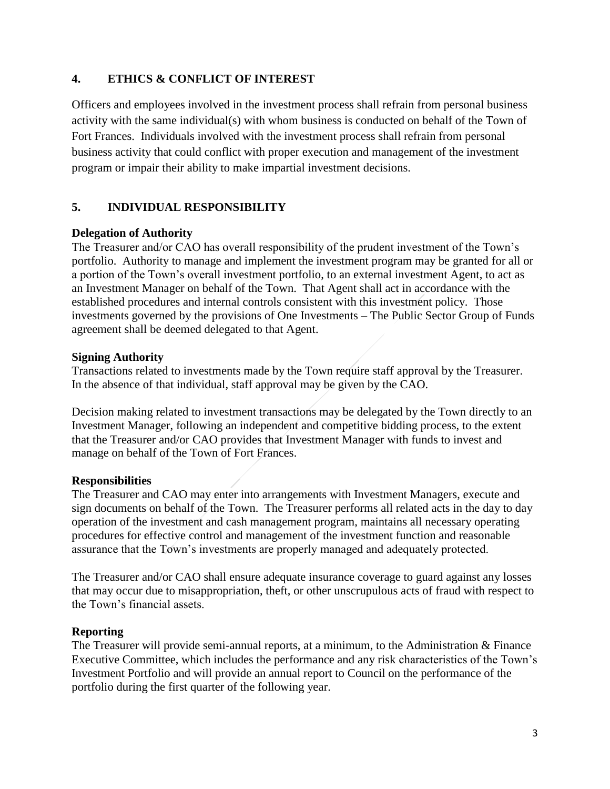# **4. ETHICS & CONFLICT OF INTEREST**

Officers and employees involved in the investment process shall refrain from personal business activity with the same individual(s) with whom business is conducted on behalf of the Town of Fort Frances. Individuals involved with the investment process shall refrain from personal business activity that could conflict with proper execution and management of the investment program or impair their ability to make impartial investment decisions.

# **5. INDIVIDUAL RESPONSIBILITY**

## **Delegation of Authority**

The Treasurer and/or CAO has overall responsibility of the prudent investment of the Town's portfolio. Authority to manage and implement the investment program may be granted for all or a portion of the Town's overall investment portfolio, to an external investment Agent, to act as an Investment Manager on behalf of the Town. That Agent shall act in accordance with the established procedures and internal controls consistent with this investment policy. Those investments governed by the provisions of One Investments – The Public Sector Group of Funds agreement shall be deemed delegated to that Agent.

## **Signing Authority**

Transactions related to investments made by the Town require staff approval by the Treasurer. In the absence of that individual, staff approval may be given by the CAO.

Decision making related to investment transactions may be delegated by the Town directly to an Investment Manager, following an independent and competitive bidding process, to the extent that the Treasurer and/or CAO provides that Investment Manager with funds to invest and manage on behalf of the Town of Fort Frances.

# **Responsibilities**

The Treasurer and CAO may enter into arrangements with Investment Managers, execute and sign documents on behalf of the Town. The Treasurer performs all related acts in the day to day operation of the investment and cash management program, maintains all necessary operating procedures for effective control and management of the investment function and reasonable assurance that the Town's investments are properly managed and adequately protected.

The Treasurer and/or CAO shall ensure adequate insurance coverage to guard against any losses that may occur due to misappropriation, theft, or other unscrupulous acts of fraud with respect to the Town's financial assets.

# **Reporting**

The Treasurer will provide semi-annual reports, at a minimum, to the Administration & Finance Executive Committee, which includes the performance and any risk characteristics of the Town's Investment Portfolio and will provide an annual report to Council on the performance of the portfolio during the first quarter of the following year.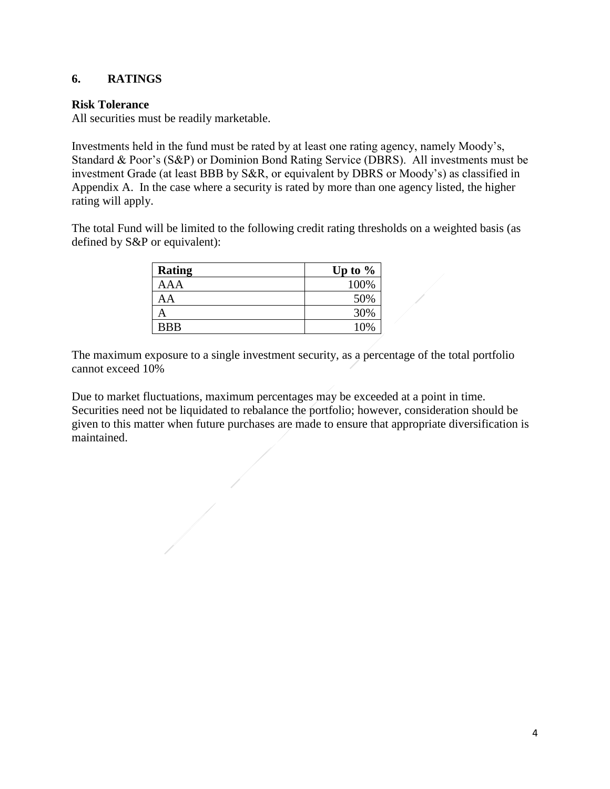# **6. RATINGS**

## **Risk Tolerance**

All securities must be readily marketable.

Investments held in the fund must be rated by at least one rating agency, namely Moody's, Standard & Poor's (S&P) or Dominion Bond Rating Service (DBRS). All investments must be investment Grade (at least BBB by S&R, or equivalent by DBRS or Moody's) as classified in Appendix A. In the case where a security is rated by more than one agency listed, the higher rating will apply.

The total Fund will be limited to the following credit rating thresholds on a weighted basis (as defined by S&P or equivalent):

| <b>Rating</b> | Up to $%$ |
|---------------|-----------|
| AAA           | 100%      |
| AA            | 50%       |
|               | 30%       |
| <b>BBB</b>    | 10%       |

The maximum exposure to a single investment security, as a percentage of the total portfolio cannot exceed 10%

Due to market fluctuations, maximum percentages may be exceeded at a point in time. Securities need not be liquidated to rebalance the portfolio; however, consideration should be given to this matter when future purchases are made to ensure that appropriate diversification is maintained.